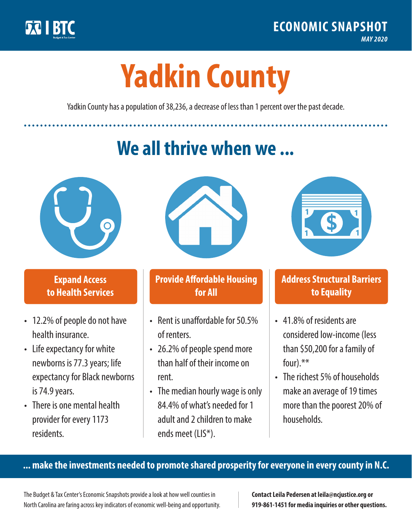

**1**

# **Yadkin County**

Yadkin County has a population of 38,236, a decrease of less than 1 percent over the past decade.

# **We all thrive when we ...**



**\$ <sup>1</sup>**

**\$ <sup>1</sup>**

#### **Expand Access to Health Services**

- 12.2% of people do not have health insurance.
- Life expectancy for white newborns is 77.3years; life expectancy for Black newborns is 74.9 years.
- There is one mental health provider for every 1173 residents.



## **Provide Affordable Housing for All**

- Rent is unaffordable for 50.5% of renters.
- 26.2% of people spend more than half of their income on rent.
- The median hourly wage is only 84.4% of what's needed for 1 adult and 2 children to make ends meet (LIS\*).



## **Address Structural Barriers to Equality**

- 41.8% of residents are considered low-income (less than \$50,200 for a family of four).\*\*
- The richest 5% of households make an average of 19 times more than the poorest 20% of households.

#### **... make the investments needed to promote shared prosperity for everyone in every county in N.C.**

The Budget & Tax Center's Economic Snapshots provide a look at how well counties in North Carolina are faring across key indicators of economic well-being and opportunity.